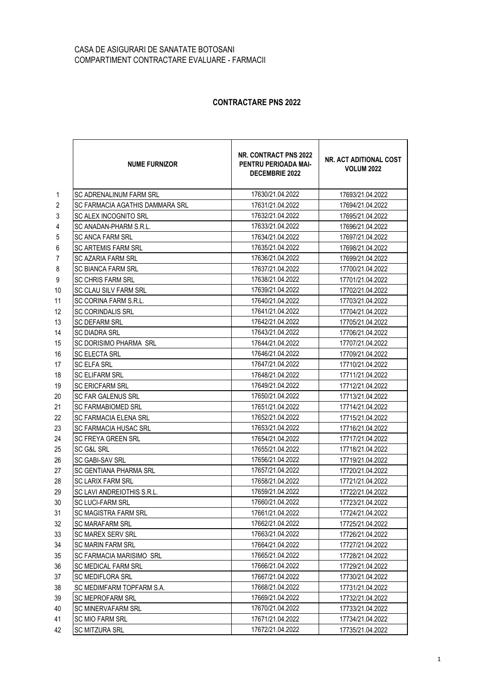## CASA DE ASIGURARI DE SANATATE BOTOSANI COMPARTIMENT CONTRACTARE EVALUARE - FARMACII

## **CONTRACTARE PNS 2022**

|                | <b>NUME FURNIZOR</b>            | NR. CONTRACT PNS 2022<br>PENTRU PERIOADA MAI-<br>DECEMBRIE 2022 | NR. ACT ADITIONAL COST<br><b>VOLUM 2022</b> |
|----------------|---------------------------------|-----------------------------------------------------------------|---------------------------------------------|
| $\mathbf{1}$   | <b>SC ADRENALINUM FARM SRL</b>  | 17630/21.04.2022                                                | 17693/21.04.2022                            |
| $\overline{2}$ | SC FARMACIA AGATHIS DAMMARA SRL | 17631/21.04.2022                                                | 17694/21.04.2022                            |
| $\sqrt{3}$     | <b>SC ALEX INCOGNITO SRL</b>    | 17632/21.04.2022                                                | 17695/21.04.2022                            |
| 4              | SC ANADAN-PHARM S.R.L.          | 17633/21.04.2022                                                | 17696/21.04.2022                            |
| 5              | <b>SC ANCA FARM SRL</b>         | 17634/21.04.2022                                                | 17697/21.04.2022                            |
| 6              | <b>SC ARTEMIS FARM SRL</b>      | 17635/21.04.2022                                                | 17698/21.04.2022                            |
| 7              | <b>SC AZARIA FARM SRL</b>       | 17636/21.04.2022                                                | 17699/21.04.2022                            |
| $\,8\,$        | <b>SC BIANCA FARM SRL</b>       | 17637/21.04.2022                                                | 17700/21.04.2022                            |
| 9              | <b>SC CHRIS FARM SRL</b>        | 17638/21.04.2022                                                | 17701/21.04.2022                            |
| 10             | SC CLAU SILV FARM SRL           | 17639/21.04.2022                                                | 17702/21.04.2022                            |
| 11             | SC CORINA FARM S.R.L.           | 17640/21.04.2022                                                | 17703/21.04.2022                            |
| 12             | <b>SC CORINDALIS SRL</b>        | 17641/21.04.2022                                                | 17704/21.04.2022                            |
| 13             | <b>SC DEFARM SRL</b>            | 17642/21.04.2022                                                | 17705/21.04.2022                            |
| 14             | <b>SC DIADRA SRL</b>            | 17643/21.04.2022                                                | 17706/21.04.2022                            |
| 15             | <b>SC DORISIMO PHARMA SRL</b>   | 17644/21.04.2022                                                | 17707/21.04.2022                            |
| 16             | <b>SC ELECTA SRL</b>            | 17646/21.04.2022                                                | 17709/21.04.2022                            |
| 17             | <b>SC ELFA SRL</b>              | 17647/21.04.2022                                                | 17710/21.04.2022                            |
| 18             | <b>SC ELIFARM SRL</b>           | 17648/21.04.2022                                                | 17711/21.04.2022                            |
| 19             | <b>SC ERICFARM SRL</b>          | 17649/21.04.2022                                                | 17712/21.04.2022                            |
| 20             | <b>SC FAR GALENUS SRL</b>       | 17650/21.04.2022                                                | 17713/21.04.2022                            |
| 21             | <b>SC FARMABIOMED SRL</b>       | 17651/21.04.2022                                                | 17714/21.04.2022                            |
| 22             | SC FARMACIA ELENA SRL           | 17652/21.04.2022                                                | 17715/21.04.2022                            |
| 23             | SC FARMACIA HUSAC SRL           | 17653/21.04.2022                                                | 17716/21.04.2022                            |
| 24             | SC FREYA GREEN SRL              | 17654/21.04.2022                                                | 17717/21.04.2022                            |
| 25             | <b>SC G&amp;L SRL</b>           | 17655/21.04.2022                                                | 17718/21.04.2022                            |
| 26             | <b>SC GABI-SAV SRL</b>          | 17656/21.04.2022                                                | 17719/21.04.2022                            |
| 27             | <b>SC GENTIANA PHARMA SRL</b>   | 17657/21.04.2022                                                | 17720/21.04.2022                            |
| 28             | <b>SC LARIX FARM SRL</b>        | 17658/21.04.2022                                                | 17721/21.04.2022                            |
| 29             | SC LAVI ANDREIOTHIS S.R.L.      | 17659/21.04.2022                                                | 17722/21.04.2022                            |
| $30\,$         | SC LUCI-FARM SRL                | 17660/21.04.2022                                                | 17723/21.04.2022                            |
| 31             | <b>SC MAGISTRA FARM SRL</b>     | 17661/21.04.2022                                                | 17724/21.04.2022                            |
| 32             | SC MARAFARM SRL                 | 17662/21.04.2022                                                | 17725/21.04.2022                            |
| 33             | <b>SC MAREX SERV SRL</b>        | 17663/21.04.2022                                                | 17726/21.04.2022                            |
| 34             | <b>SC MARIN FARM SRL</b>        | 17664/21.04.2022                                                | 17727/21.04.2022                            |
| 35             | <b>SC FARMACIA MARISIMO SRL</b> | 17665/21.04.2022                                                | 17728/21.04.2022                            |
| 36             | <b>SC MEDICAL FARM SRL</b>      | 17666/21.04.2022                                                | 17729/21.04.2022                            |
| 37             | <b>SC MEDIFLORA SRL</b>         | 17667/21.04.2022                                                | 17730/21.04.2022                            |
| 38             | SC MEDIMFARM TOPFARM S.A.       | 17668/21.04.2022                                                | 17731/21.04.2022                            |
| 39             | <b>SC MEPROFARM SRL</b>         | 17669/21.04.2022                                                | 17732/21.04.2022                            |
| 40             | <b>SC MINERVAFARM SRL</b>       | 17670/21.04.2022                                                | 17733/21.04.2022                            |
| 41             | <b>SC MIO FARM SRL</b>          | 17671/21.04.2022                                                | 17734/21.04.2022                            |
| 42             | SC MITZURA SRL                  | 17672/21.04.2022                                                | 17735/21.04.2022                            |